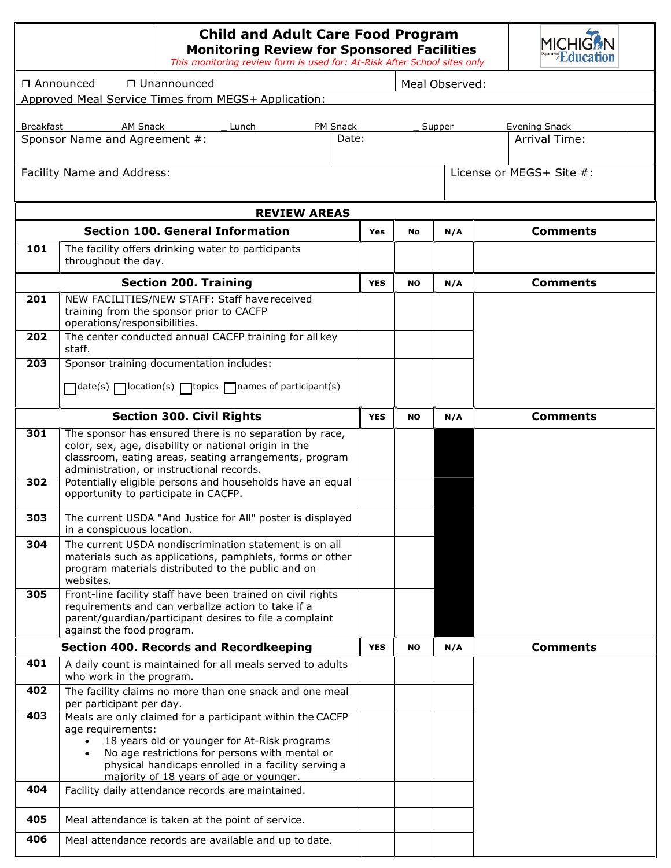| <b>Child and Adult Care Food Program</b><br><b>Monitoring Review for Sponsored Facilities</b><br><b><i>Education</i></b><br>This monitoring review form is used for: At-Risk After School sites only |                                                                                                                                                                                                                                                                                      |                |           |        |                                              |  |  |  |
|------------------------------------------------------------------------------------------------------------------------------------------------------------------------------------------------------|--------------------------------------------------------------------------------------------------------------------------------------------------------------------------------------------------------------------------------------------------------------------------------------|----------------|-----------|--------|----------------------------------------------|--|--|--|
|                                                                                                                                                                                                      | □ Unannounced<br>□ Announced                                                                                                                                                                                                                                                         | Meal Observed: |           |        |                                              |  |  |  |
|                                                                                                                                                                                                      | Approved Meal Service Times from MEGS+ Application:                                                                                                                                                                                                                                  |                |           |        |                                              |  |  |  |
|                                                                                                                                                                                                      |                                                                                                                                                                                                                                                                                      |                |           |        |                                              |  |  |  |
|                                                                                                                                                                                                      | Lunch_____<br>PM Snack_<br>Sponsor Name and Agreement #:<br>Date:                                                                                                                                                                                                                    |                |           | Supper | <b>Evening Snack</b><br><b>Arrival Time:</b> |  |  |  |
|                                                                                                                                                                                                      |                                                                                                                                                                                                                                                                                      |                |           |        |                                              |  |  |  |
|                                                                                                                                                                                                      | Facility Name and Address:                                                                                                                                                                                                                                                           |                |           |        | License or MEGS+ Site #:                     |  |  |  |
|                                                                                                                                                                                                      | <b>REVIEW AREAS</b>                                                                                                                                                                                                                                                                  |                |           |        |                                              |  |  |  |
|                                                                                                                                                                                                      | <b>Section 100. General Information</b>                                                                                                                                                                                                                                              | <b>Yes</b>     | <b>No</b> | N/A    | <b>Comments</b>                              |  |  |  |
| 101                                                                                                                                                                                                  | The facility offers drinking water to participants<br>throughout the day.                                                                                                                                                                                                            |                |           |        |                                              |  |  |  |
|                                                                                                                                                                                                      | <b>Section 200. Training</b>                                                                                                                                                                                                                                                         | <b>YES</b>     | <b>NO</b> | N/A    | <b>Comments</b>                              |  |  |  |
| 201                                                                                                                                                                                                  | NEW FACILITIES/NEW STAFF: Staff have received<br>training from the sponsor prior to CACFP<br>operations/responsibilities.                                                                                                                                                            |                |           |        |                                              |  |  |  |
| 202                                                                                                                                                                                                  | The center conducted annual CACFP training for all key<br>staff.                                                                                                                                                                                                                     |                |           |        |                                              |  |  |  |
| 203                                                                                                                                                                                                  | Sponsor training documentation includes:                                                                                                                                                                                                                                             |                |           |        |                                              |  |  |  |
|                                                                                                                                                                                                      | □ date(s) □ location(s) □ topics □ names of participant(s)                                                                                                                                                                                                                           |                |           |        |                                              |  |  |  |
|                                                                                                                                                                                                      | <b>Section 300. Civil Rights</b>                                                                                                                                                                                                                                                     | <b>YES</b>     | <b>NO</b> | N/A    | <b>Comments</b>                              |  |  |  |
| 301<br>302                                                                                                                                                                                           | The sponsor has ensured there is no separation by race,<br>color, sex, age, disability or national origin in the<br>classroom, eating areas, seating arrangements, program<br>administration, or instructional records.<br>Potentially eligible persons and households have an equal |                |           |        |                                              |  |  |  |
|                                                                                                                                                                                                      | opportunity to participate in CACFP.                                                                                                                                                                                                                                                 |                |           |        |                                              |  |  |  |
| 303                                                                                                                                                                                                  | The current USDA "And Justice for All" poster is displayed<br>in a conspicuous location.                                                                                                                                                                                             |                |           |        |                                              |  |  |  |
| 304                                                                                                                                                                                                  | The current USDA nondiscrimination statement is on all<br>materials such as applications, pamphlets, forms or other<br>program materials distributed to the public and on<br>websites.                                                                                               |                |           |        |                                              |  |  |  |
| 305                                                                                                                                                                                                  | Front-line facility staff have been trained on civil rights<br>requirements and can verbalize action to take if a<br>parent/guardian/participant desires to file a complaint<br>against the food program.                                                                            |                |           |        |                                              |  |  |  |
|                                                                                                                                                                                                      | <b>Section 400. Records and Recordkeeping</b>                                                                                                                                                                                                                                        | <b>YES</b>     | <b>NO</b> | N/A    | <b>Comments</b>                              |  |  |  |
| 401                                                                                                                                                                                                  | A daily count is maintained for all meals served to adults<br>who work in the program.                                                                                                                                                                                               |                |           |        |                                              |  |  |  |
| 402                                                                                                                                                                                                  | The facility claims no more than one snack and one meal<br>per participant per day.                                                                                                                                                                                                  |                |           |        |                                              |  |  |  |
| 403                                                                                                                                                                                                  | Meals are only claimed for a participant within the CACFP<br>age requirements:<br>18 years old or younger for At-Risk programs<br>No age restrictions for persons with mental or<br>physical handicaps enrolled in a facility serving a<br>majority of 18 years of age or younger.   |                |           |        |                                              |  |  |  |
| 404                                                                                                                                                                                                  | Facility daily attendance records are maintained.                                                                                                                                                                                                                                    |                |           |        |                                              |  |  |  |
| 405                                                                                                                                                                                                  | Meal attendance is taken at the point of service.                                                                                                                                                                                                                                    |                |           |        |                                              |  |  |  |
| 406                                                                                                                                                                                                  | Meal attendance records are available and up to date.                                                                                                                                                                                                                                |                |           |        |                                              |  |  |  |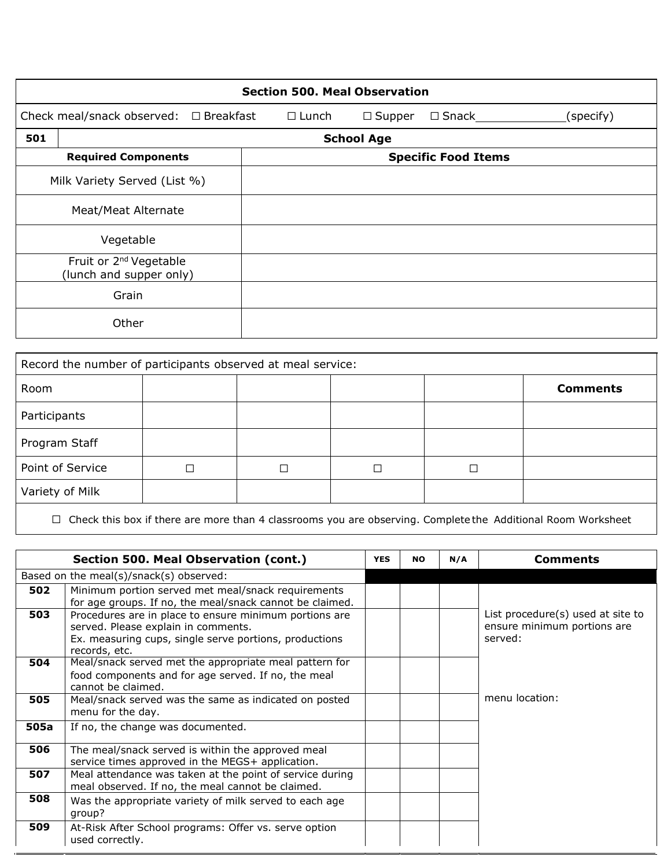|     | <b>Section 500. Meal Observation</b>                                                                         |  |  |                            |  |  |  |  |  |  |
|-----|--------------------------------------------------------------------------------------------------------------|--|--|----------------------------|--|--|--|--|--|--|
|     | Check meal/snack observed: $\Box$ Breakfast<br>$\square$ Snack<br>$\Box$ Lunch<br>$\Box$ Supper<br>(specify) |  |  |                            |  |  |  |  |  |  |
| 501 | <b>School Age</b>                                                                                            |  |  |                            |  |  |  |  |  |  |
|     | <b>Required Components</b>                                                                                   |  |  | <b>Specific Food Items</b> |  |  |  |  |  |  |
|     | Milk Variety Served (List %)                                                                                 |  |  |                            |  |  |  |  |  |  |
|     | Meat/Meat Alternate                                                                                          |  |  |                            |  |  |  |  |  |  |
|     | Vegetable                                                                                                    |  |  |                            |  |  |  |  |  |  |
|     | Fruit or 2 <sup>nd</sup> Vegetable<br>(lunch and supper only)                                                |  |  |                            |  |  |  |  |  |  |
|     | Grain                                                                                                        |  |  |                            |  |  |  |  |  |  |
|     | Other                                                                                                        |  |  |                            |  |  |  |  |  |  |

| Record the number of participants observed at meal service: |   |  |  |  |                 |  |  |  |
|-------------------------------------------------------------|---|--|--|--|-----------------|--|--|--|
| Room                                                        |   |  |  |  | <b>Comments</b> |  |  |  |
| Participants                                                |   |  |  |  |                 |  |  |  |
| Program Staff                                               |   |  |  |  |                 |  |  |  |
| Point of Service                                            | □ |  |  |  |                 |  |  |  |
| Variety of Milk                                             |   |  |  |  |                 |  |  |  |

☐ Check this box if there are more than 4 classrooms you are observing. Complete the Additional Room Worksheet

|      | Section 500. Meal Observation (cont.)                                                                                                                                    | <b>YES</b> | <b>NO</b> | N/A | <b>Comments</b>                                                             |
|------|--------------------------------------------------------------------------------------------------------------------------------------------------------------------------|------------|-----------|-----|-----------------------------------------------------------------------------|
|      | Based on the meal(s)/snack(s) observed:                                                                                                                                  |            |           |     |                                                                             |
| 502  | Minimum portion served met meal/snack requirements<br>for age groups. If no, the meal/snack cannot be claimed.                                                           |            |           |     |                                                                             |
| 503  | Procedures are in place to ensure minimum portions are<br>served. Please explain in comments.<br>Ex. measuring cups, single serve portions, productions<br>records, etc. |            |           |     | List procedure(s) used at site to<br>ensure minimum portions are<br>served: |
| 504  | Meal/snack served met the appropriate meal pattern for<br>food components and for age served. If no, the meal<br>cannot be claimed.                                      |            |           |     |                                                                             |
| 505  | Meal/snack served was the same as indicated on posted<br>menu for the day.                                                                                               |            |           |     | menu location:                                                              |
| 505a | If no, the change was documented.                                                                                                                                        |            |           |     |                                                                             |
| 506  | The meal/snack served is within the approved meal<br>service times approved in the MEGS+ application.                                                                    |            |           |     |                                                                             |
| 507  | Meal attendance was taken at the point of service during<br>meal observed. If no, the meal cannot be claimed.                                                            |            |           |     |                                                                             |
| 508  | Was the appropriate variety of milk served to each age<br>group?                                                                                                         |            |           |     |                                                                             |
| 509  | At-Risk After School programs: Offer vs. serve option<br>used correctly.                                                                                                 |            |           |     |                                                                             |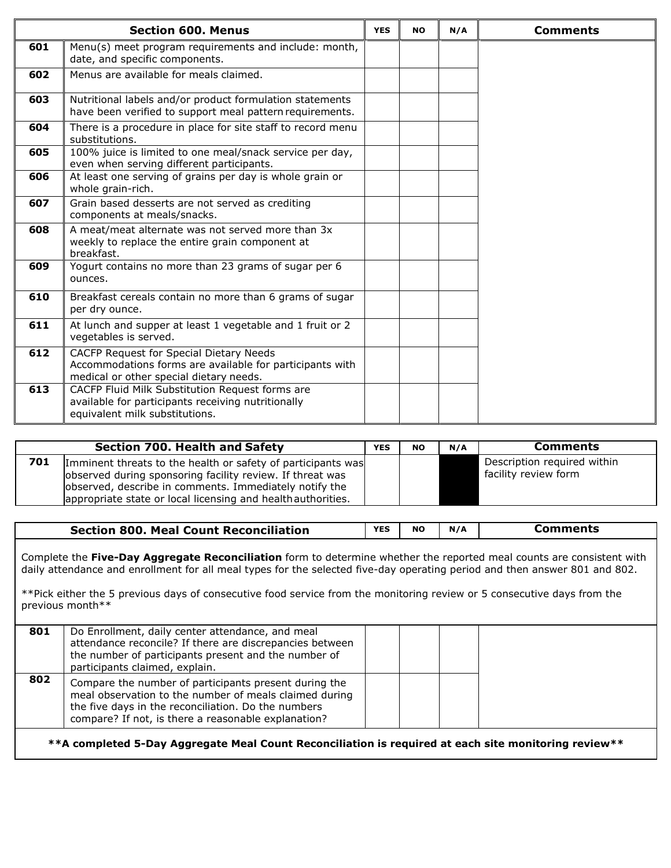|     | <b>Section 600. Menus</b>                                                                                                                      | <b>YES</b> | <b>NO</b> | N/A | <b>Comments</b> |
|-----|------------------------------------------------------------------------------------------------------------------------------------------------|------------|-----------|-----|-----------------|
| 601 | Menu(s) meet program requirements and include: month,<br>date, and specific components.                                                        |            |           |     |                 |
| 602 | Menus are available for meals claimed.                                                                                                         |            |           |     |                 |
| 603 | Nutritional labels and/or product formulation statements<br>have been verified to support meal pattern requirements.                           |            |           |     |                 |
| 604 | There is a procedure in place for site staff to record menu<br>substitutions.                                                                  |            |           |     |                 |
| 605 | 100% juice is limited to one meal/snack service per day,<br>even when serving different participants.                                          |            |           |     |                 |
| 606 | At least one serving of grains per day is whole grain or<br>whole grain-rich.                                                                  |            |           |     |                 |
| 607 | Grain based desserts are not served as crediting<br>components at meals/snacks.                                                                |            |           |     |                 |
| 608 | A meat/meat alternate was not served more than 3x<br>weekly to replace the entire grain component at<br>breakfast.                             |            |           |     |                 |
| 609 | Yogurt contains no more than 23 grams of sugar per 6<br>ounces.                                                                                |            |           |     |                 |
| 610 | Breakfast cereals contain no more than 6 grams of sugar<br>per dry ounce.                                                                      |            |           |     |                 |
| 611 | At lunch and supper at least 1 vegetable and 1 fruit or 2<br>vegetables is served.                                                             |            |           |     |                 |
| 612 | CACFP Request for Special Dietary Needs<br>Accommodations forms are available for participants with<br>medical or other special dietary needs. |            |           |     |                 |
| 613 | CACFP Fluid Milk Substitution Request forms are<br>available for participants receiving nutritionally<br>equivalent milk substitutions.        |            |           |     |                 |

|     | <b>Section 700. Health and Safety</b>                                                                                                                                                                                                               | <b>YES</b> | <b>NO</b> | N/A | <b>Comments</b>                                     |
|-----|-----------------------------------------------------------------------------------------------------------------------------------------------------------------------------------------------------------------------------------------------------|------------|-----------|-----|-----------------------------------------------------|
| 701 | Imminent threats to the health or safety of participants was<br>observed during sponsoring facility review. If threat was<br>observed, describe in comments. Immediately notify the<br>appropriate state or local licensing and health authorities. |            |           |     | Description required within<br>facility review form |

| <b>Section 800. Meal Count Reconciliation</b> | <b>YES</b> | NC |  |
|-----------------------------------------------|------------|----|--|
|                                               |            |    |  |

Complete the **Five-Day Aggregate Reconciliation** form to determine whether the reported meal counts are consistent with daily attendance and enrollment for all meal types for the selected five-day operating period and then answer 801 and 802.

\*\*Pick either the 5 previous days of consecutive food service from the monitoring review or 5 consecutive days from the previous month\*\*

| 801 | Do Enrollment, daily center attendance, and meal<br>attendance reconcile? If there are discrepancies between<br>the number of participants present and the number of<br>participants claimed, explain.                        |  |  |
|-----|-------------------------------------------------------------------------------------------------------------------------------------------------------------------------------------------------------------------------------|--|--|
| 802 | Compare the number of participants present during the<br>meal observation to the number of meals claimed during<br>the five days in the reconciliation. Do the numbers<br>compare? If not, is there a reasonable explanation? |  |  |

**\*\*A completed 5-Day Aggregate Meal Count Reconciliation is required at each site monitoring review\*\***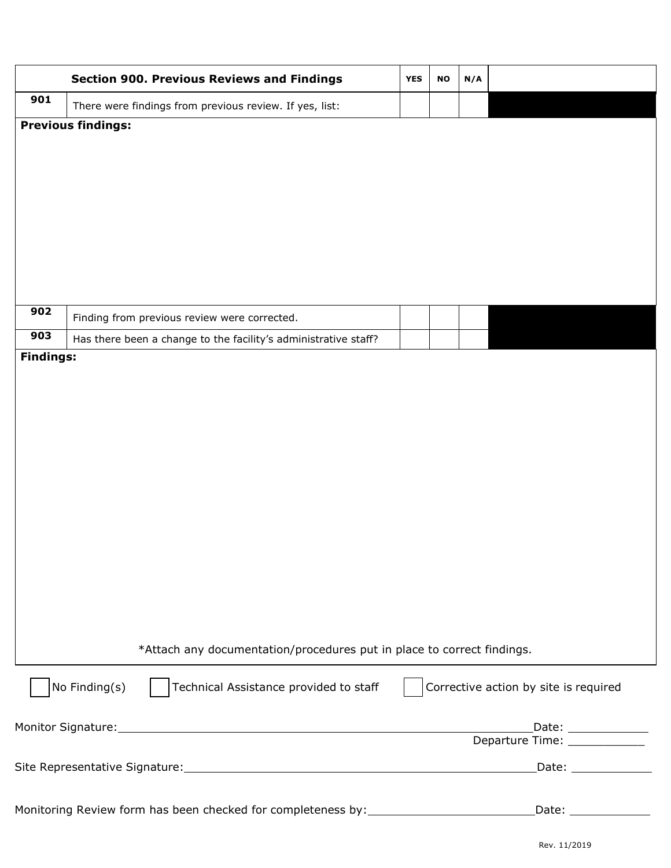|                  | <b>Section 900. Previous Reviews and Findings</b>                                 | <b>YES</b> | <b>NO</b> | N/A |                                                                                      |
|------------------|-----------------------------------------------------------------------------------|------------|-----------|-----|--------------------------------------------------------------------------------------|
| 901              | There were findings from previous review. If yes, list:                           |            |           |     |                                                                                      |
|                  | <b>Previous findings:</b>                                                         |            |           |     |                                                                                      |
|                  |                                                                                   |            |           |     |                                                                                      |
|                  |                                                                                   |            |           |     |                                                                                      |
|                  |                                                                                   |            |           |     |                                                                                      |
|                  |                                                                                   |            |           |     |                                                                                      |
|                  |                                                                                   |            |           |     |                                                                                      |
|                  |                                                                                   |            |           |     |                                                                                      |
|                  |                                                                                   |            |           |     |                                                                                      |
|                  |                                                                                   |            |           |     |                                                                                      |
| 902              | Finding from previous review were corrected.                                      |            |           |     |                                                                                      |
| 903              | Has there been a change to the facility's administrative staff?                   |            |           |     |                                                                                      |
| <b>Findings:</b> |                                                                                   |            |           |     |                                                                                      |
|                  |                                                                                   |            |           |     |                                                                                      |
|                  |                                                                                   |            |           |     |                                                                                      |
|                  |                                                                                   |            |           |     |                                                                                      |
|                  |                                                                                   |            |           |     |                                                                                      |
|                  |                                                                                   |            |           |     |                                                                                      |
|                  |                                                                                   |            |           |     |                                                                                      |
|                  |                                                                                   |            |           |     |                                                                                      |
|                  |                                                                                   |            |           |     |                                                                                      |
|                  |                                                                                   |            |           |     |                                                                                      |
|                  |                                                                                   |            |           |     |                                                                                      |
|                  |                                                                                   |            |           |     |                                                                                      |
|                  |                                                                                   |            |           |     |                                                                                      |
|                  |                                                                                   |            |           |     |                                                                                      |
|                  |                                                                                   |            |           |     |                                                                                      |
|                  | *Attach any documentation/procedures put in place to correct findings.            |            |           |     |                                                                                      |
|                  | No Finding(s)<br>Technical Assistance provided to staff                           |            |           |     | Corrective action by site is required                                                |
|                  |                                                                                   |            |           |     | Date: _____________                                                                  |
|                  |                                                                                   |            |           |     | Departure Time: ____________                                                         |
|                  |                                                                                   |            |           |     | Date: _______________                                                                |
|                  |                                                                                   |            |           |     |                                                                                      |
|                  | Monitoring Review form has been checked for completeness by: ____________________ |            |           |     | $\boxed{\text{Date:}\_\_\_\_\_\_\_\_\_\_\_\_\_\_\_\_\_\_\_\_\_\_\_\_\_\_\_\_\_\_\_}$ |
|                  |                                                                                   |            |           |     |                                                                                      |